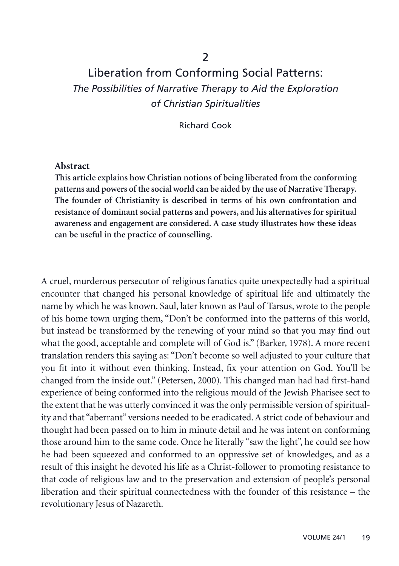## Liberation from Conforming Social Patterns: *The Possibilities of Narrative Therapy to Aid the Exploration of Christian Spiritualities*

Richard Cook

## **Abstract**

**This article explains how Christian notions of being liberated from the conforming patterns and powers of the social world can be aided by the use of Narrative Therapy. The founder of Christianity is described in terms of his own confrontation and resistance of dominant social patterns and powers, and his alternatives for spiritual awareness and engagement are considered. A case study illustrates how these ideas can be useful in the practice of counselling.**

A cruel, murderous persecutor of religious fanatics quite unexpectedly had a spiritual encounter that changed his personal knowledge of spiritual life and ultimately the name by which he was known. Saul, later known as Paul of Tarsus, wrote to the people of his home town urging them, "Don't be conformed into the patterns of this world, but instead be transformed by the renewing of your mind so that you may find out what the good, acceptable and complete will of God is." (Barker, 1978). A more recent translation renders this saying as: "Don't become so well adjusted to your culture that you fit into it without even thinking. Instead, fix your attention on God. You'll be changed from the inside out." (Petersen, 2000). This changed man had had first-hand experience of being conformed into the religious mould of the Jewish Pharisee sect to the extent that he was utterly convinced it was the only permissible version of spirituality and that "aberrant" versions needed to be eradicated. A strict code of behaviour and thought had been passed on to him in minute detail and he was intent on conforming those around him to the same code. Once he literally "saw the light", he could see how he had been squeezed and conformed to an oppressive set of knowledges, and as a result of this insight he devoted his life as a Christ-follower to promoting resistance to that code of religious law and to the preservation and extension of people's personal liberation and their spiritual connectedness with the founder of this resistance – the revolutionary Jesus of Nazareth.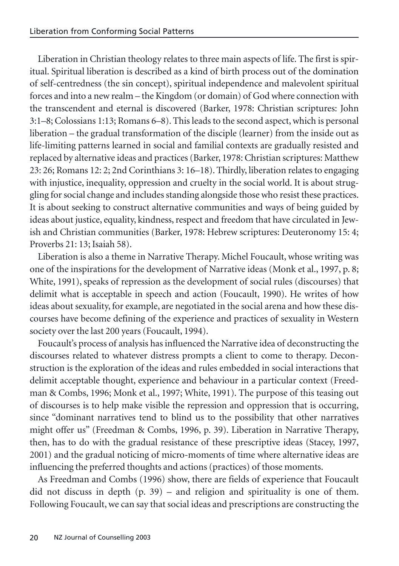Liberation in Christian theology relates to three main aspects of life. The first is spiritual. Spiritual liberation is described as a kind of birth process out of the domination of self-centredness (the sin concept), spiritual independence and malevolent spiritual forces and into a new realm – the Kingdom (or domain) of God where connection with the transcendent and eternal is discovered (Barker, 1978: Christian scriptures: John 3:1–8; Colossians 1:13; Romans 6–8). This leads to the second aspect, which is personal liberation – the gradual transformation of the disciple (learner) from the inside out as life-limiting patterns learned in social and familial contexts are gradually resisted and replaced by alternative ideas and practices (Barker, 1978: Christian scriptures: Matthew 23: 26; Romans 12: 2; 2nd Corinthians 3: 16–18). Thirdly, liberation relates to engaging with injustice, inequality, oppression and cruelty in the social world. It is about struggling for social change and includes standing alongside those who resist these practices. It is about seeking to construct alternative communities and ways of being guided by ideas about justice, equality, kindness, respect and freedom that have circulated in Jewish and Christian communities (Barker, 1978: Hebrew scriptures: Deuteronomy 15: 4; Proverbs 21: 13; Isaiah 58).

Liberation is also a theme in Narrative Therapy. Michel Foucault, whose writing was one of the inspirations for the development of Narrative ideas (Monk et al., 1997, p. 8; White, 1991), speaks of repression as the development of social rules (discourses) that delimit what is acceptable in speech and action (Foucault, 1990). He writes of how ideas about sexuality, for example, are negotiated in the social arena and how these discourses have become defining of the experience and practices of sexuality in Western society over the last 200 years (Foucault, 1994).

Foucault's process of analysis has influenced the Narrative idea of deconstructing the discourses related to whatever distress prompts a client to come to therapy. Deconstruction is the exploration of the ideas and rules embedded in social interactions that delimit acceptable thought, experience and behaviour in a particular context (Freedman & Combs, 1996; Monk et al., 1997; White, 1991). The purpose of this teasing out of discourses is to help make visible the repression and oppression that is occurring, since "dominant narratives tend to blind us to the possibility that other narratives might offer us" (Freedman & Combs, 1996, p. 39). Liberation in Narrative Therapy, then, has to do with the gradual resistance of these prescriptive ideas (Stacey, 1997, 2001) and the gradual noticing of micro-moments of time where alternative ideas are influencing the preferred thoughts and actions (practices) of those moments.

As Freedman and Combs (1996) show, there are fields of experience that Foucault did not discuss in depth (p. 39) – and religion and spirituality is one of them. Following Foucault, we can say that social ideas and prescriptions are constructing the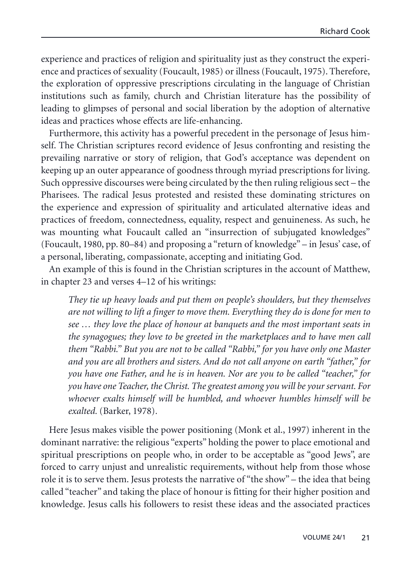experience and practices of religion and spirituality just as they construct the experience and practices of sexuality (Foucault, 1985) or illness (Foucault, 1975). Therefore, the exploration of oppressive prescriptions circulating in the language of Christian institutions such as family, church and Christian literature has the possibility of leading to glimpses of personal and social liberation by the adoption of alternative ideas and practices whose effects are life-enhancing.

Furthermore, this activity has a powerful precedent in the personage of Jesus himself. The Christian scriptures record evidence of Jesus confronting and resisting the prevailing narrative or story of religion, that God's acceptance was dependent on keeping up an outer appearance of goodness through myriad prescriptions for living. Such oppressive discourses were being circulated by the then ruling religious sect – the Pharisees. The radical Jesus protested and resisted these dominating strictures on the experience and expression of spirituality and articulated alternative ideas and practices of freedom, connectedness, equality, respect and genuineness. As such, he was mounting what Foucault called an "insurrection of subjugated knowledges" (Foucault, 1980, pp. 80–84) and proposing a "return of knowledge" – in Jesus' case, of a personal, liberating, compassionate, accepting and initiating God.

An example of this is found in the Christian scriptures in the account of Matthew, in chapter 23 and verses 4–12 of his writings:

*They tie up heavy loads and put them on people's shoulders, but they themselves are not willing to lift a finger to move them. Everything they do is done for men to see … they love the place of honour at banquets and the most important seats in the synagogues; they love to be greeted in the marketplaces and to have men call them "Rabbi." But you are not to be called "Rabbi," for you have only one Master and you are all brothers and sisters. And do not call anyone on earth "father," for you have one Father, and he is in heaven. Nor are you to be called "teacher," for you have one Teacher, the Christ. The greatest among you will be your servant. For whoever exalts himself will be humbled, and whoever humbles himself will be exalted.* (Barker, 1978)*.*

Here Jesus makes visible the power positioning (Monk et al., 1997) inherent in the dominant narrative: the religious "experts" holding the power to place emotional and spiritual prescriptions on people who, in order to be acceptable as "good Jews", are forced to carry unjust and unrealistic requirements, without help from those whose role it is to serve them. Jesus protests the narrative of "the show" – the idea that being called "teacher" and taking the place of honour is fitting for their higher position and knowledge. Jesus calls his followers to resist these ideas and the associated practices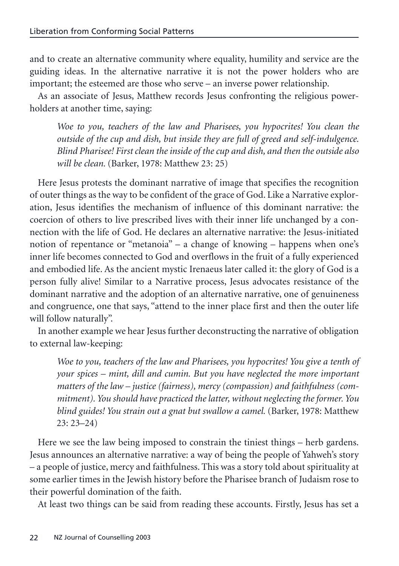and to create an alternative community where equality, humility and service are the guiding ideas. In the alternative narrative it is not the power holders who are important; the esteemed are those who serve – an inverse power relationship.

As an associate of Jesus, Matthew records Jesus confronting the religious powerholders at another time, saying:

*Woe to you, teachers of the law and Pharisees, you hypocrites! You clean the outside of the cup and dish, but inside they are full of greed and self-indulgence. Blind Pharisee! First clean the inside of the cup and dish, and then the outside also will be clean.* (Barker, 1978: Matthew 23: 25)

Here Jesus protests the dominant narrative of image that specifies the recognition of outer things as the way to be confident of the grace of God. Like a Narrative exploration, Jesus identifies the mechanism of influence of this dominant narrative: the coercion of others to live prescribed lives with their inner life unchanged by a connection with the life of God. He declares an alternative narrative: the Jesus-initiated notion of repentance or "metanoia" – a change of knowing – happens when one's inner life becomes connected to God and overflows in the fruit of a fully experienced and embodied life. As the ancient mystic Irenaeus later called it: the glory of God is a person fully alive! Similar to a Narrative process, Jesus advocates resistance of the dominant narrative and the adoption of an alternative narrative, one of genuineness and congruence, one that says, "attend to the inner place first and then the outer life will follow naturally".

In another example we hear Jesus further deconstructing the narrative of obligation to external law-keeping:

*Woe to you, teachers of the law and Pharisees, you hypocrites! You give a tenth of your spices – mint, dill and cumin. But you have neglected the more important matters of the law – justice (fairness), mercy (compassion) and faithfulness (commitment). You should have practiced the latter, without neglecting the former. You blind guides! You strain out a gnat but swallow a camel.* (Barker, 1978: Matthew 23: 23–24)

Here we see the law being imposed to constrain the tiniest things – herb gardens. Jesus announces an alternative narrative: a way of being the people of Yahweh's story – a people of justice, mercy and faithfulness. This was a story told about spirituality at some earlier times in the Jewish history before the Pharisee branch of Judaism rose to their powerful domination of the faith.

At least two things can be said from reading these accounts. Firstly, Jesus has set a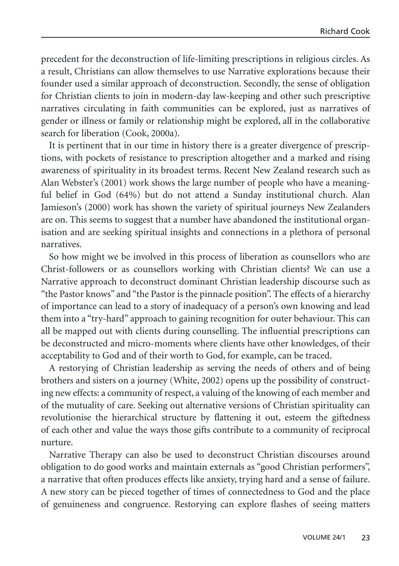precedent for the deconstruction of life-limiting prescriptions in religious circles. As a result, Christians can allow themselves to use Narrative explorations because their founder used a similar approach of deconstruction. Secondly, the sense of obligation for Christian clients to join in modern-day law-keeping and other such prescriptive narratives circulating in faith communities can be explored, just as narratives of gender or illness or family or relationship might be explored, all in the collaborative search for liberation (Cook, 2000a).

It is pertinent that in our time in history there is a greater divergence of prescriptions, with pockets of resistance to prescription altogether and a marked and rising awareness of spirituality in its broadest terms. Recent New Zealand research such as Alan Webster's (2001) work shows the large number of people who have a meaningful belief in God (64%) but do not attend a Sunday institutional church. Alan Jamieson's (2000) work has shown the variety of spiritual journeys New Zealanders are on. This seems to suggest that a number have abandoned the institutional organisation and are seeking spiritual insights and connections in a plethora of personal narratives.

So how might we be involved in this process of liberation as counsellors who are Christ-followers or as counsellors working with Christian clients? We can use a Narrative approach to deconstruct dominant Christian leadership discourse such as "the Pastor knows" and "the Pastor is the pinnacle position". The effects of a hierarchy of importance can lead to a story of inadequacy of a person's own knowing and lead them into a "try-hard" approach to gaining recognition for outer behaviour. This can all be mapped out with clients during counselling. The influential prescriptions can be deconstructed and micro-moments where clients have other knowledges, of their acceptability to God and of their worth to God, for example, can be traced.

A restorying of Christian leadership as serving the needs of others and of being brothers and sisters on a journey (White, 2002) opens up the possibility of constructing new effects: a community of respect, a valuing of the knowing of each member and of the mutuality of care. Seeking out alternative versions of Christian spirituality can revolutionise the hierarchical structure by flattening it out, esteem the giftedness of each other and value the ways those gifts contribute to a community of reciprocal nurture.

Narrative Therapy can also be used to deconstruct Christian discourses around obligation to do good works and maintain externals as "good Christian performers", a narrative that often produces effects like anxiety, trying hard and a sense of failure. A new story can be pieced together of times of connectedness to God and the place of genuineness and congruence. Restorying can explore flashes of seeing matters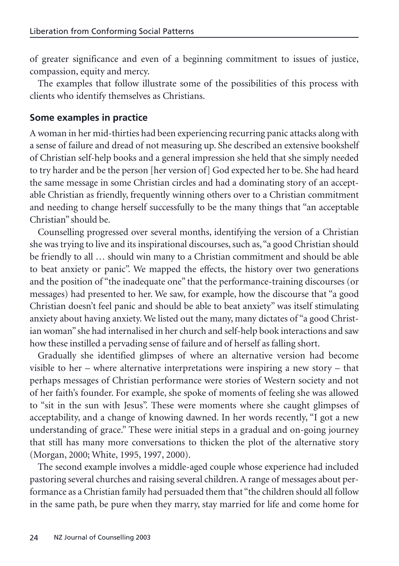of greater significance and even of a beginning commitment to issues of justice, compassion, equity and mercy.

The examples that follow illustrate some of the possibilities of this process with clients who identify themselves as Christians.

## **Some examples in practice**

A woman in her mid-thirties had been experiencing recurring panic attacks along with a sense of failure and dread of not measuring up. She described an extensive bookshelf of Christian self-help books and a general impression she held that she simply needed to try harder and be the person [her version of] God expected her to be. She had heard the same message in some Christian circles and had a dominating story of an acceptable Christian as friendly, frequently winning others over to a Christian commitment and needing to change herself successfully to be the many things that "an acceptable Christian" should be.

Counselling progressed over several months, identifying the version of a Christian she was trying to live and its inspirational discourses, such as,"a good Christian should be friendly to all … should win many to a Christian commitment and should be able to beat anxiety or panic". We mapped the effects, the history over two generations and the position of "the inadequate one" that the performance-training discourses (or messages) had presented to her. We saw, for example, how the discourse that "a good Christian doesn't feel panic and should be able to beat anxiety" was itself stimulating anxiety about having anxiety. We listed out the many, many dictates of "a good Christian woman" she had internalised in her church and self-help book interactions and saw how these instilled a pervading sense of failure and of herself as falling short.

Gradually she identified glimpses of where an alternative version had become visible to her – where alternative interpretations were inspiring a new story – that perhaps messages of Christian performance were stories of Western society and not of her faith's founder. For example, she spoke of moments of feeling she was allowed to "sit in the sun with Jesus". These were moments where she caught glimpses of acceptability, and a change of knowing dawned. In her words recently, "I got a new understanding of grace." These were initial steps in a gradual and on-going journey that still has many more conversations to thicken the plot of the alternative story (Morgan, 2000; White, 1995, 1997, 2000).

The second example involves a middle-aged couple whose experience had included pastoring several churches and raising several children. A range of messages about performance as a Christian family had persuaded them that "the children should all follow in the same path, be pure when they marry, stay married for life and come home for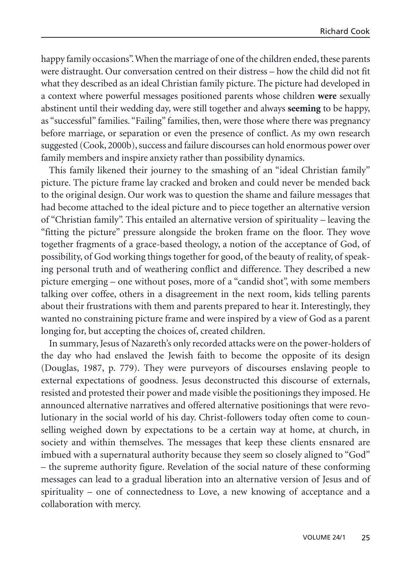happy family occasions". When the marriage of one of the children ended, these parents were distraught. Our conversation centred on their distress – how the child did not fit what they described as an ideal Christian family picture. The picture had developed in a context where powerful messages positioned parents whose children **were** sexually abstinent until their wedding day, were still together and always **seeming** to be happy, as "successful" families. "Failing" families, then, were those where there was pregnancy before marriage, or separation or even the presence of conflict. As my own research suggested (Cook, 2000b), success and failure discourses can hold enormous power over family members and inspire anxiety rather than possibility dynamics.

This family likened their journey to the smashing of an "ideal Christian family" picture. The picture frame lay cracked and broken and could never be mended back to the original design. Our work was to question the shame and failure messages that had become attached to the ideal picture and to piece together an alternative version of "Christian family". This entailed an alternative version of spirituality – leaving the "fitting the picture" pressure alongside the broken frame on the floor. They wove together fragments of a grace-based theology, a notion of the acceptance of God, of possibility, of God working things together for good, of the beauty of reality, of speaking personal truth and of weathering conflict and difference. They described a new picture emerging – one without poses, more of a "candid shot", with some members talking over coffee, others in a disagreement in the next room, kids telling parents about their frustrations with them and parents prepared to hear it. Interestingly, they wanted no constraining picture frame and were inspired by a view of God as a parent longing for, but accepting the choices of, created children.

In summary, Jesus of Nazareth's only recorded attacks were on the power-holders of the day who had enslaved the Jewish faith to become the opposite of its design (Douglas, 1987, p. 779). They were purveyors of discourses enslaving people to external expectations of goodness. Jesus deconstructed this discourse of externals, resisted and protested their power and made visible the positionings they imposed. He announced alternative narratives and offered alternative positionings that were revolutionary in the social world of his day. Christ-followers today often come to counselling weighed down by expectations to be a certain way at home, at church, in society and within themselves. The messages that keep these clients ensnared are imbued with a supernatural authority because they seem so closely aligned to "God" – the supreme authority figure. Revelation of the social nature of these conforming messages can lead to a gradual liberation into an alternative version of Jesus and of spirituality – one of connectedness to Love, a new knowing of acceptance and a collaboration with mercy.